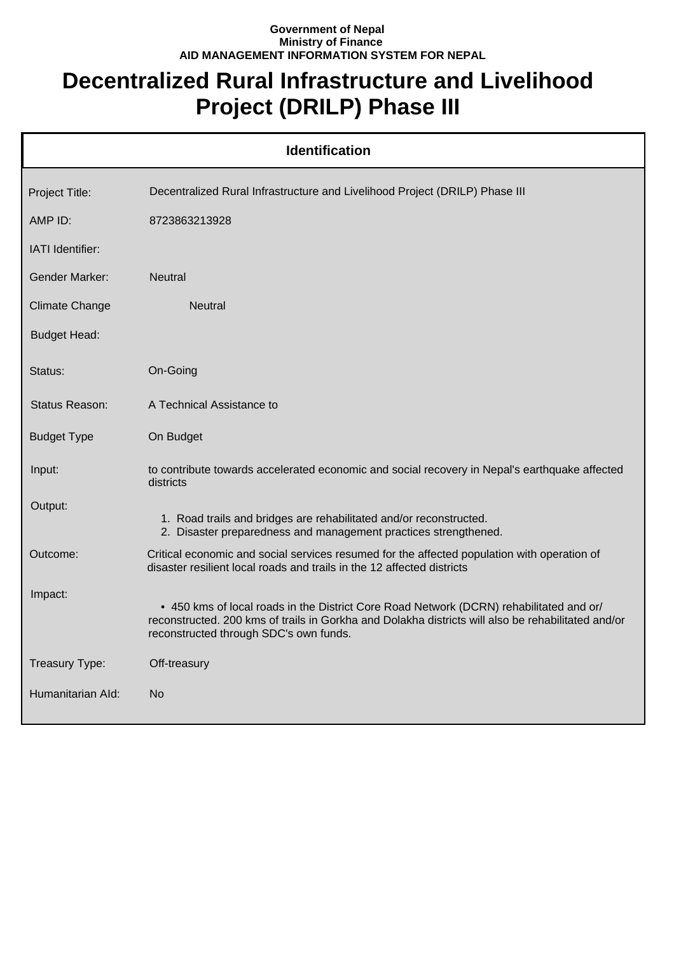## **Government of Nepal Ministry of Finance AID MANAGEMENT INFORMATION SYSTEM FOR NEPAL**

## **Decentralized Rural Infrastructure and Livelihood Project (DRILP) Phase III**

| <b>Identification</b> |                                                                                                                                                                                                                                         |  |
|-----------------------|-----------------------------------------------------------------------------------------------------------------------------------------------------------------------------------------------------------------------------------------|--|
| Project Title:        | Decentralized Rural Infrastructure and Livelihood Project (DRILP) Phase III                                                                                                                                                             |  |
| AMP ID:               | 8723863213928                                                                                                                                                                                                                           |  |
| IATI Identifier:      |                                                                                                                                                                                                                                         |  |
| <b>Gender Marker:</b> | <b>Neutral</b>                                                                                                                                                                                                                          |  |
| <b>Climate Change</b> | <b>Neutral</b>                                                                                                                                                                                                                          |  |
| <b>Budget Head:</b>   |                                                                                                                                                                                                                                         |  |
| Status:               | On-Going                                                                                                                                                                                                                                |  |
| Status Reason:        | A Technical Assistance to                                                                                                                                                                                                               |  |
| <b>Budget Type</b>    | On Budget                                                                                                                                                                                                                               |  |
| Input:                | to contribute towards accelerated economic and social recovery in Nepal's earthquake affected<br>districts                                                                                                                              |  |
| Output:               | 1. Road trails and bridges are rehabilitated and/or reconstructed.<br>2. Disaster preparedness and management practices strengthened.                                                                                                   |  |
| Outcome:              | Critical economic and social services resumed for the affected population with operation of<br>disaster resilient local roads and trails in the 12 affected districts                                                                   |  |
| Impact:               | • 450 kms of local roads in the District Core Road Network (DCRN) rehabilitated and or/<br>reconstructed. 200 kms of trails in Gorkha and Dolakha districts will also be rehabilitated and/or<br>reconstructed through SDC's own funds. |  |
| Treasury Type:        | Off-treasury                                                                                                                                                                                                                            |  |
| Humanitarian Ald:     | No.                                                                                                                                                                                                                                     |  |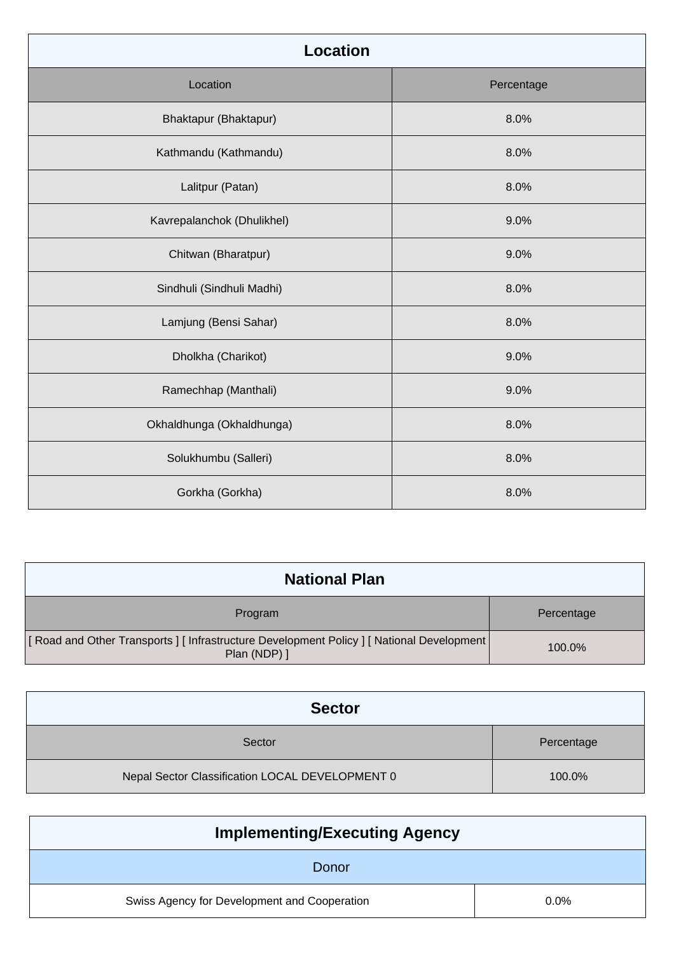| <b>Location</b>            |            |  |
|----------------------------|------------|--|
| Location                   | Percentage |  |
| Bhaktapur (Bhaktapur)      | 8.0%       |  |
| Kathmandu (Kathmandu)      | 8.0%       |  |
| Lalitpur (Patan)           | 8.0%       |  |
| Kavrepalanchok (Dhulikhel) | 9.0%       |  |
| Chitwan (Bharatpur)        | 9.0%       |  |
| Sindhuli (Sindhuli Madhi)  | 8.0%       |  |
| Lamjung (Bensi Sahar)      | 8.0%       |  |
| Dholkha (Charikot)         | 9.0%       |  |
| Ramechhap (Manthali)       | 9.0%       |  |
| Okhaldhunga (Okhaldhunga)  | 8.0%       |  |
| Solukhumbu (Salleri)       | 8.0%       |  |
| Gorkha (Gorkha)            | 8.0%       |  |

| <b>National Plan</b>                                                                                         |            |
|--------------------------------------------------------------------------------------------------------------|------------|
| Program                                                                                                      | Percentage |
| [ Road and Other Transports ] [ Infrastructure Development Policy ] [ National Development  <br>Plan (NDP) ] | 100.0%     |

| <b>Sector</b>                                   |            |
|-------------------------------------------------|------------|
| Sector                                          | Percentage |
| Nepal Sector Classification LOCAL DEVELOPMENT 0 | 100.0%     |

| <b>Implementing/Executing Agency</b>         |         |
|----------------------------------------------|---------|
| Donor                                        |         |
| Swiss Agency for Development and Cooperation | $0.0\%$ |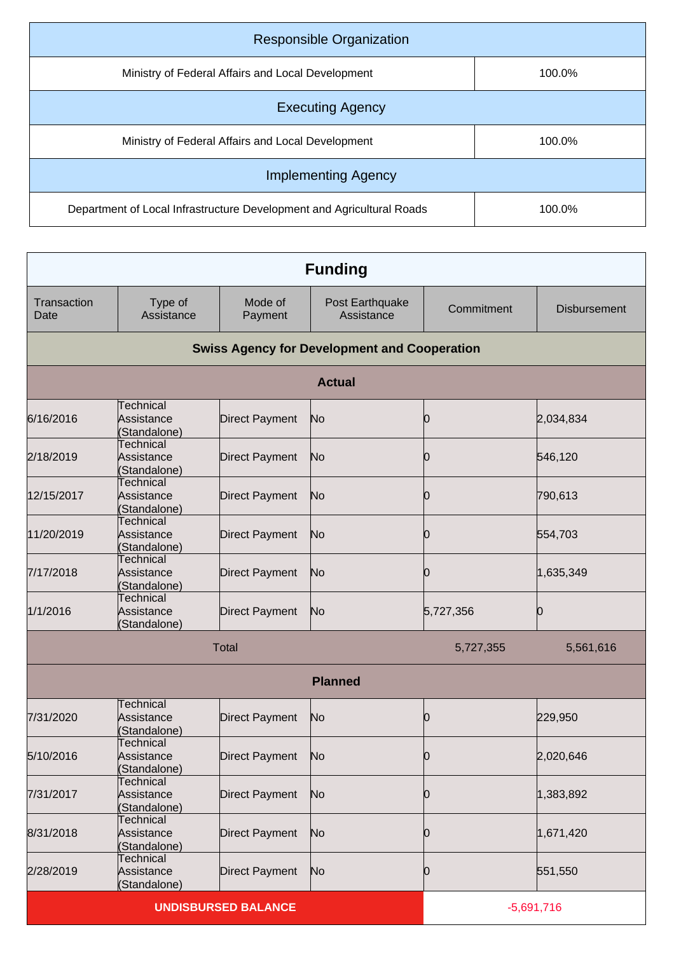| <b>Responsible Organization</b>                                       |        |
|-----------------------------------------------------------------------|--------|
| Ministry of Federal Affairs and Local Development                     | 100.0% |
| <b>Executing Agency</b>                                               |        |
| Ministry of Federal Affairs and Local Development                     | 100.0% |
| <b>Implementing Agency</b>                                            |        |
| Department of Local Infrastructure Development and Agricultural Roads | 100.0% |

|                     |                                                |                            | <b>Funding</b>                                      |            |                     |
|---------------------|------------------------------------------------|----------------------------|-----------------------------------------------------|------------|---------------------|
| Transaction<br>Date | Type of<br>Assistance                          | Mode of<br>Payment         | Post Earthquake<br>Assistance                       | Commitment | <b>Disbursement</b> |
|                     |                                                |                            | <b>Swiss Agency for Development and Cooperation</b> |            |                     |
|                     |                                                |                            | <b>Actual</b>                                       |            |                     |
| 6/16/2016           | Technical<br>Assistance<br>(Standalone)        | Direct Payment             | N <sub>o</sub>                                      | Ю          | 2,034,834           |
| 2/18/2019           | <b>Technical</b><br>Assistance<br>(Standalone) | <b>Direct Payment</b>      | No                                                  | Ю          | 546,120             |
| 12/15/2017          | Technical<br>Assistance<br>(Standalone)        | <b>Direct Payment</b>      | No                                                  | Ю          | 790,613             |
| 11/20/2019          | Technical<br>Assistance<br>(Standalone)        | Direct Payment             | No                                                  | 0          | 554,703             |
| 7/17/2018           | <b>Technical</b><br>Assistance<br>(Standalone) | <b>Direct Payment</b>      | No                                                  | Ю          | 1,635,349           |
| 1/1/2016            | Technical<br>Assistance<br>(Standalone)        | Direct Payment             | N <sub>o</sub>                                      | 5,727,356  | Ю                   |
|                     |                                                | <b>Total</b>               |                                                     | 5,727,355  | 5,561,616           |
|                     |                                                |                            | <b>Planned</b>                                      |            |                     |
| 7/31/2020           | Technical<br>Assistance<br>(Standalone)        | <b>Direct Payment</b>      | N <sub>o</sub>                                      | 0          | 229,950             |
| 5/10/2016           | <b>Technical</b><br>Assistance<br>(Standalone) | <b>Direct Payment</b>      | No                                                  | Ю          | 2,020,646           |
| 7/31/2017           | Technical<br>Assistance<br>(Standalone)        | Direct Payment             | No                                                  | Ю          | 1,383,892           |
| 8/31/2018           | Technical<br>Assistance<br>(Standalone)        | Direct Payment             | No                                                  | Ю          | 1,671,420           |
| 2/28/2019           | Technical<br>Assistance<br>(Standalone)        | Direct Payment             | No                                                  | 0          | 551,550             |
|                     |                                                | <b>UNDISBURSED BALANCE</b> |                                                     |            | $-5,691,716$        |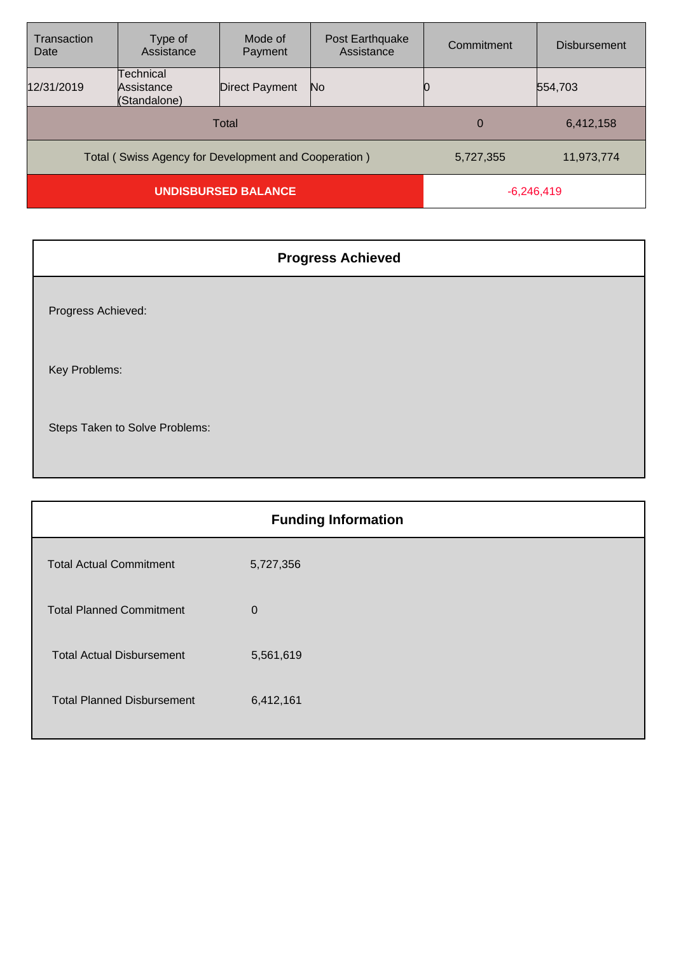| Transaction<br>Date                                  | Type of<br>Assistance                   | Mode of<br>Payment | Post Earthquake<br>Assistance | Commitment | <b>Disbursement</b> |
|------------------------------------------------------|-----------------------------------------|--------------------|-------------------------------|------------|---------------------|
| 12/31/2019                                           | Technical<br>Assistance<br>(Standalone) | Direct Payment     | No                            |            | 554,703             |
| Total                                                |                                         |                    | 0                             | 6,412,158  |                     |
| Total (Swiss Agency for Development and Cooperation) |                                         |                    | 5,727,355                     | 11,973,774 |                     |
| <b>UNDISBURSED BALANCE</b>                           |                                         |                    | $-6,246,419$                  |            |                     |

| <b>Progress Achieved</b>       |
|--------------------------------|
| Progress Achieved:             |
| Key Problems:                  |
| Steps Taken to Solve Problems: |

| <b>Funding Information</b>        |           |  |
|-----------------------------------|-----------|--|
| <b>Total Actual Commitment</b>    | 5,727,356 |  |
| <b>Total Planned Commitment</b>   | $\Omega$  |  |
| <b>Total Actual Disbursement</b>  | 5,561,619 |  |
| <b>Total Planned Disbursement</b> | 6,412,161 |  |